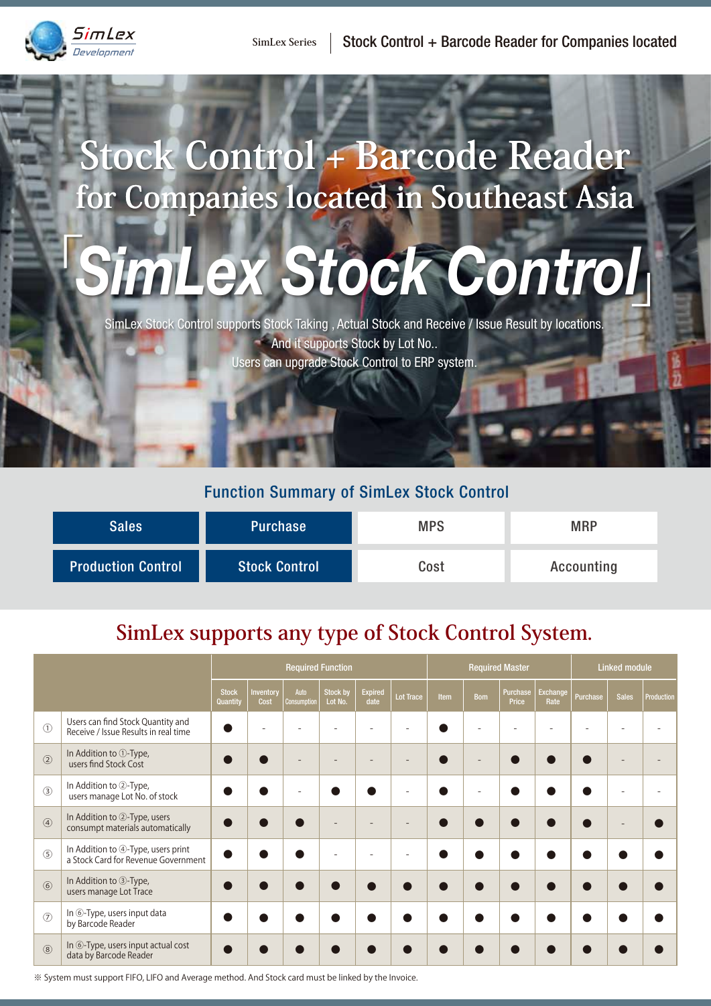

## **Stock Control + Barcode Reader for Companies located in Southeast Asia**

# 「*SimLex Stock Control* 」

SimLex Stock Control supports Stock Taking , Actual Stock and Receive / Issue Result by locations. And it supports Stock by Lot No.. Users can upgrade Stock Control to ERP system.

#### Function Summary of SimLex Stock Control

| <b>Sales</b>              | <b>Purchase</b>      | <b>MPS</b> | <b>MRP</b> |
|---------------------------|----------------------|------------|------------|
| <b>Production Control</b> | <b>Stock Control</b> | Cost       | Accounting |

### **SimLex supports any type of Stock Control System.**

|                |                                                                           | <b>Required Function</b> |                   |                     |                            | <b>Required Master</b> |                  |      | <b>Linked module</b> |                   |                  |          |              |            |
|----------------|---------------------------------------------------------------------------|--------------------------|-------------------|---------------------|----------------------------|------------------------|------------------|------|----------------------|-------------------|------------------|----------|--------------|------------|
|                |                                                                           | <b>Stock</b><br>Quantity | Inventory<br>Cost | Auto<br>Consumption | <b>Stock by</b><br>Lot No. | <b>Expired</b><br>date | <b>Lot Trace</b> | Item | <b>Bom</b>           | Purchase<br>Price | Exchange<br>Rate | Purchase | <b>Sales</b> | Production |
| $\odot$        | Users can find Stock Quantity and<br>Receive / Issue Results in real time |                          |                   |                     |                            |                        |                  |      |                      |                   |                  |          |              |            |
| $\circled{2}$  | In Addition to 1-Type,<br>users find Stock Cost                           |                          |                   |                     |                            |                        | ۰                |      |                      |                   |                  |          |              |            |
| $\circled{3}$  | In Addition to 2-Type,<br>users manage Lot No. of stock                   |                          |                   |                     |                            |                        |                  |      |                      |                   |                  |          |              |            |
| $\circled{4}$  | In Addition to 2-Type, users<br>consumpt materials automatically          |                          |                   |                     |                            |                        |                  |      |                      |                   |                  |          |              |            |
| $\circledS$    | In Addition to 4-Type, users print<br>a Stock Card for Revenue Government |                          |                   |                     |                            |                        | ۰                |      |                      |                   |                  |          |              |            |
| $\circled{6}$  | In Addition to 3-Type,<br>users manage Lot Trace                          |                          |                   |                     |                            |                        |                  |      |                      |                   |                  |          |              |            |
| $\circledcirc$ | In 6-Type, users input data<br>by Barcode Reader                          |                          |                   |                     |                            |                        |                  |      |                      |                   |                  |          |              |            |
| $\circledR$    | In <b>6-Type</b> , users input actual cost<br>data by Barcode Reader      |                          |                   |                     |                            |                        |                  |      |                      |                   |                  |          |              |            |

※ System must support FIFO, LIFO and Average method. And Stock card must be linked by the Invoice.